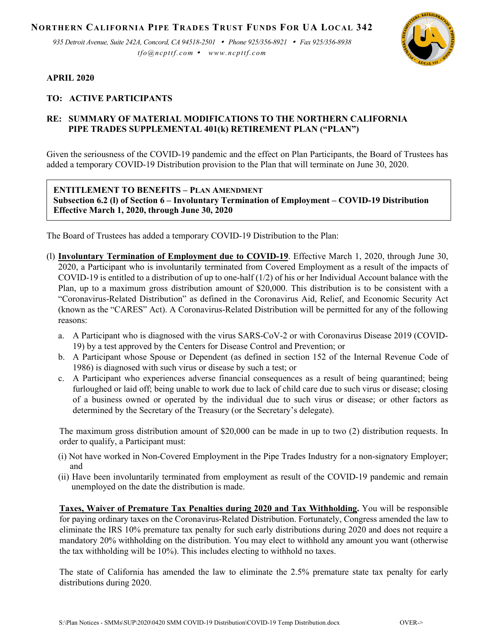**NORTHERN CALIFORNIA PIPE TRADES TRUST FUNDS FOR UA LOCAL 342**

*935 Detroit Avenue, Suite 242A, Concord, CA 94518-2501 Phone 925/356-8921 Fax 925/356-8938 tfo@ncpttf.com www.ncpttf.com*



## **APRIL 2020**

## **TO: ACTIVE PARTICIPANTS**

## **RE: SUMMARY OF MATERIAL MODIFICATIONS TO THE NORTHERN CALIFORNIA PIPE TRADES SUPPLEMENTAL 401(k) RETIREMENT PLAN ("PLAN")**

Given the seriousness of the COVID-19 pandemic and the effect on Plan Participants, the Board of Trustees has added a temporary COVID-19 Distribution provision to the Plan that will terminate on June 30, 2020.

## **ENTITLEMENT TO BENEFITS – PLAN AMENDMENT**

**Subsection 6.2 (l) of Section 6 – Involuntary Termination of Employment – COVID-19 Distribution Effective March 1, 2020, through June 30, 2020**

The Board of Trustees has added a temporary COVID-19 Distribution to the Plan:

- (l) **Involuntary Termination of Employment due to COVID-19**. Effective March 1, 2020, through June 30, 2020, a Participant who is involuntarily terminated from Covered Employment as a result of the impacts of COVID-19 is entitled to a distribution of up to one-half  $(1/2)$  of his or her Individual Account balance with the Plan, up to a maximum gross distribution amount of \$20,000. This distribution is to be consistent with a "Coronavirus-Related Distribution" as defined in the Coronavirus Aid, Relief, and Economic Security Act (known as the "CARES" Act). A Coronavirus-Related Distribution will be permitted for any of the following reasons:
	- a. A Participant who is diagnosed with the virus SARS-CoV-2 or with Coronavirus Disease 2019 (COVID-19) by a test approved by the Centers for Disease Control and Prevention; or
	- b. A Participant whose Spouse or Dependent (as defined in section 152 of the Internal Revenue Code of 1986) is diagnosed with such virus or disease by such a test; or
	- c. A Participant who experiences adverse financial consequences as a result of being quarantined; being furloughed or laid off; being unable to work due to lack of child care due to such virus or disease; closing of a business owned or operated by the individual due to such virus or disease; or other factors as determined by the Secretary of the Treasury (or the Secretary's delegate).

The maximum gross distribution amount of \$20,000 can be made in up to two (2) distribution requests. In order to qualify, a Participant must:

- (i) Not have worked in Non-Covered Employment in the Pipe Trades Industry for a non-signatory Employer; and
- (ii) Have been involuntarily terminated from employment as result of the COVID-19 pandemic and remain unemployed on the date the distribution is made.

**Taxes, Waiver of Premature Tax Penalties during 2020 and Tax Withholding.** You will be responsible for paying ordinary taxes on the Coronavirus-Related Distribution. Fortunately, Congress amended the law to eliminate the IRS 10% premature tax penalty for such early distributions during 2020 and does not require a mandatory 20% withholding on the distribution. You may elect to withhold any amount you want (otherwise the tax withholding will be 10%). This includes electing to withhold no taxes.

The state of California has amended the law to eliminate the 2.5% premature state tax penalty for early distributions during 2020.